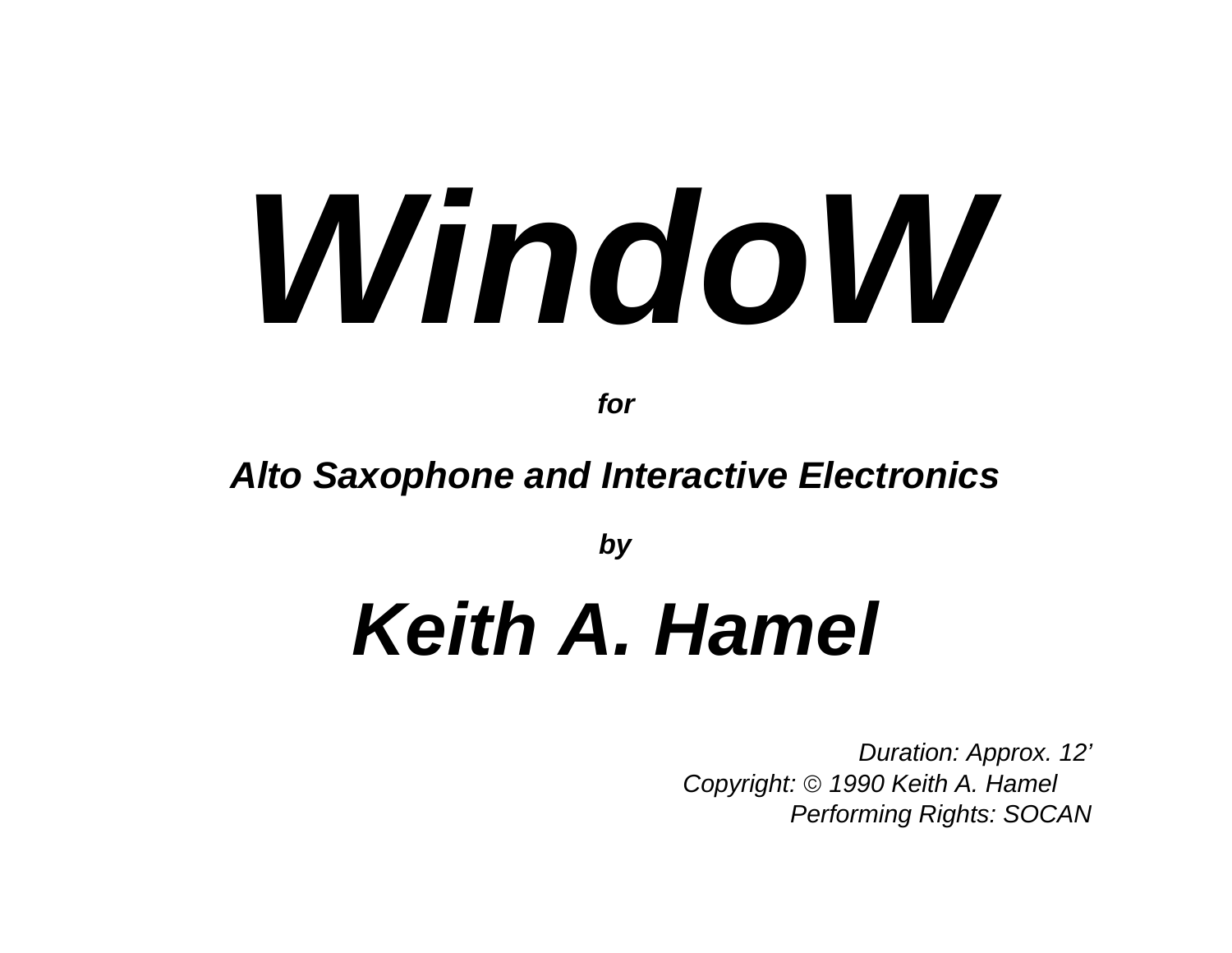# *WindoW*

*for*

# *Alto Saxophone and Interactive Electronics*

*by*

# *Keith A. Hamel*

*Duration: Approx. 12' Copyright: 1990 Keith A. Hamel Performing Rights: SOCAN*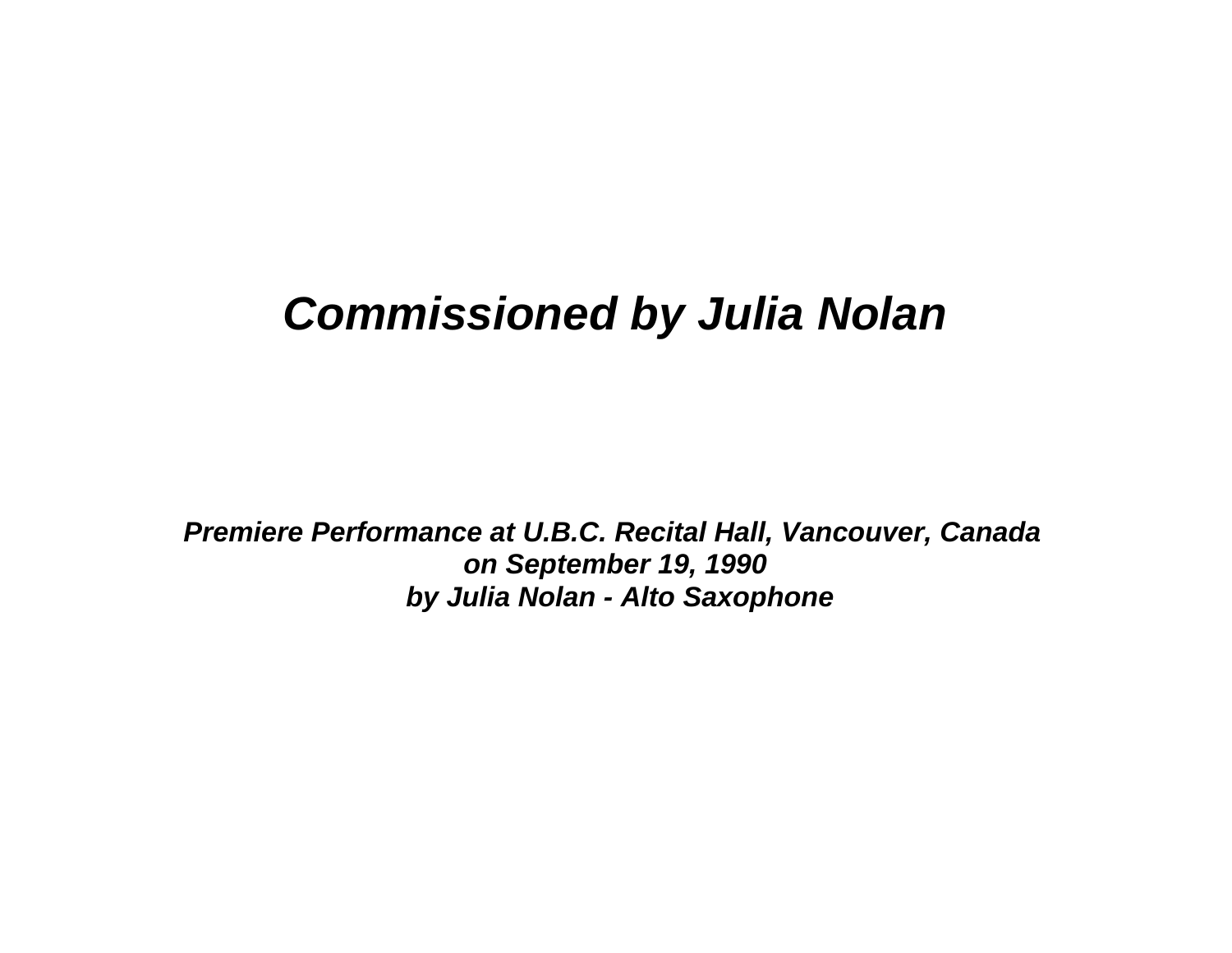# *Commissioned by Julia Nolan*

*Premiere Performance at U.B.C. Recital Hall, Vancouver, Canada on September 19, 1990 by Julia Nolan - Alto Saxophone*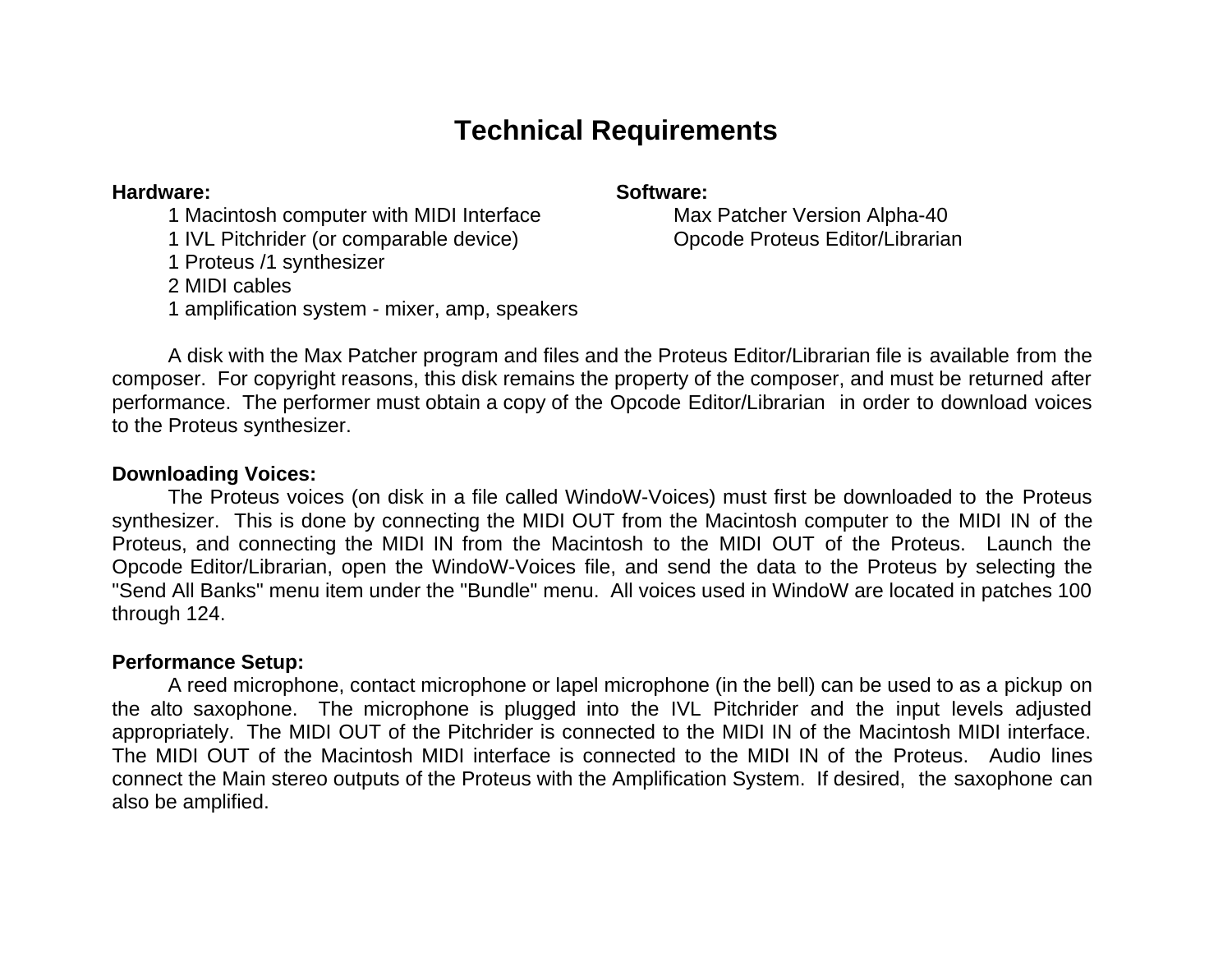### **Technical Requirements**

#### **Hardware: Contract Contract Contract Contract Contract Contract Contract Contract Contract Contract Contract Contract Contract Contract Contract Contract Contract Contract Contract Contract Contract Contract Contract Co**

1 Macintosh computer with MIDI Interface Max Patcher Version Alpha-40

1 IVL Pitchrider (or comparable device) Opcode Proteus Editor/Librarian 1 Proteus /1 synthesizer 2 MIDI cables 1 amplification system - mixer, amp, speakers

A disk with the Max Patcher program and files and the Proteus Editor/Librarian file is available from the composer. For copyright reasons, this disk remains the property of the composer, and must be returned after performance. The performer must obtain a copy of the Opcode Editor/Librarian in order to download voices to the Proteus synthesizer.

#### **Downloading Voices:**

The Proteus voices (on disk in a file called WindoW-Voices) must first be downloaded to the Proteus synthesizer. This is done by connecting the MIDI OUT from the Macintosh computer to the MIDI IN of the Proteus, and connecting the MIDI IN from the Macintosh to the MIDI OUT of the Proteus. Launch the Opcode Editor/Librarian, open the WindoW-Voices file, and send the data to the Proteus by selecting the "Send All Banks" menu item under the "Bundle" menu. All voices used in WindoW are located in patches 100 through 124.

#### **Performance Setup:**

A reed microphone, contact microphone or lapel microphone (in the bell) can be used to as a pickup on the alto saxophone. The microphone is plugged into the IVL Pitchrider and the input levels adjusted appropriately. The MIDI OUT of the Pitchrider is connected to the MIDI IN of the Macintosh MIDI interface. The MIDI OUT of the Macintosh MIDI interface is connected to the MIDI IN of the Proteus. Audio lines connect the Main stereo outputs of the Proteus with the Amplification System. If desired, the saxophone can also be amplified.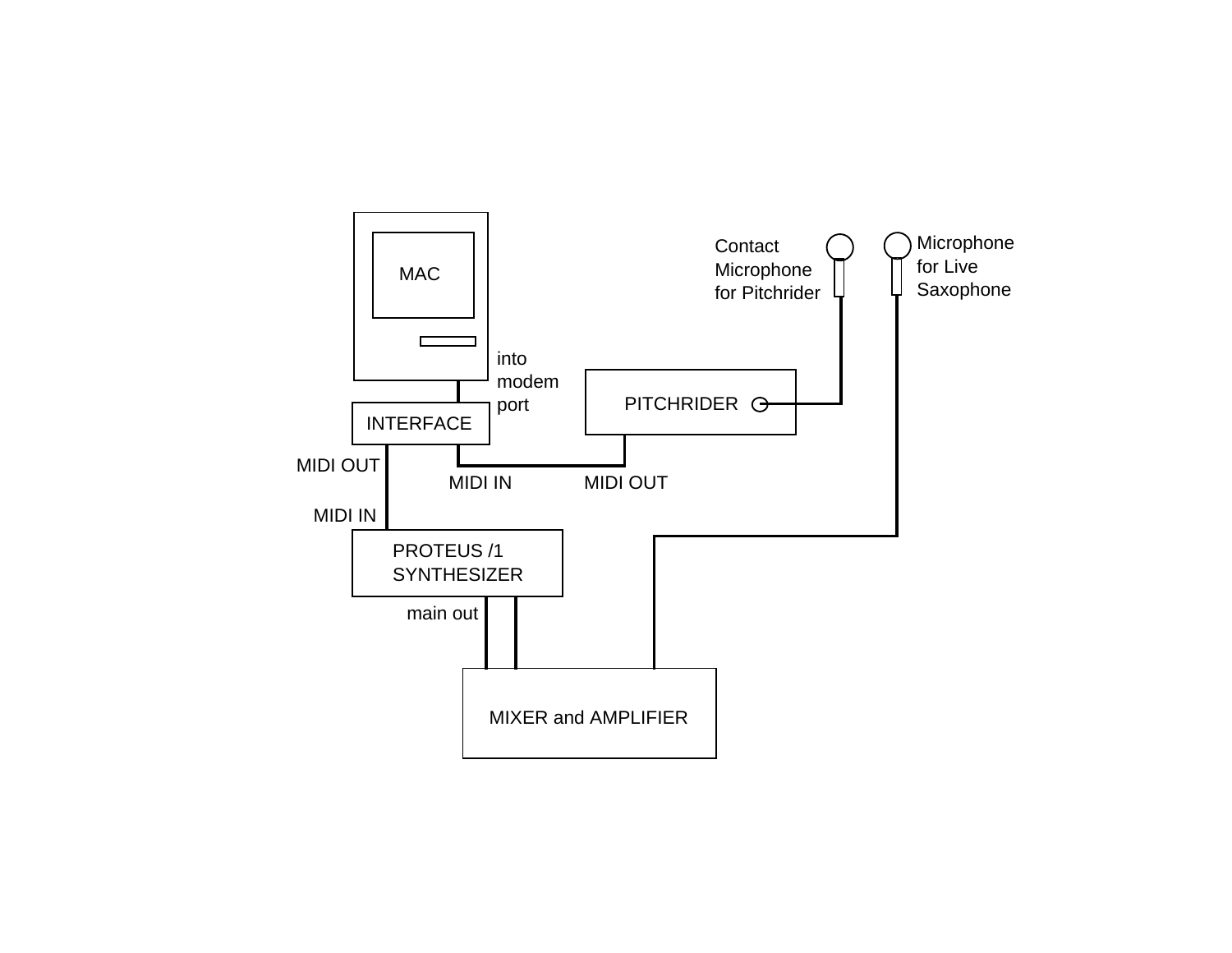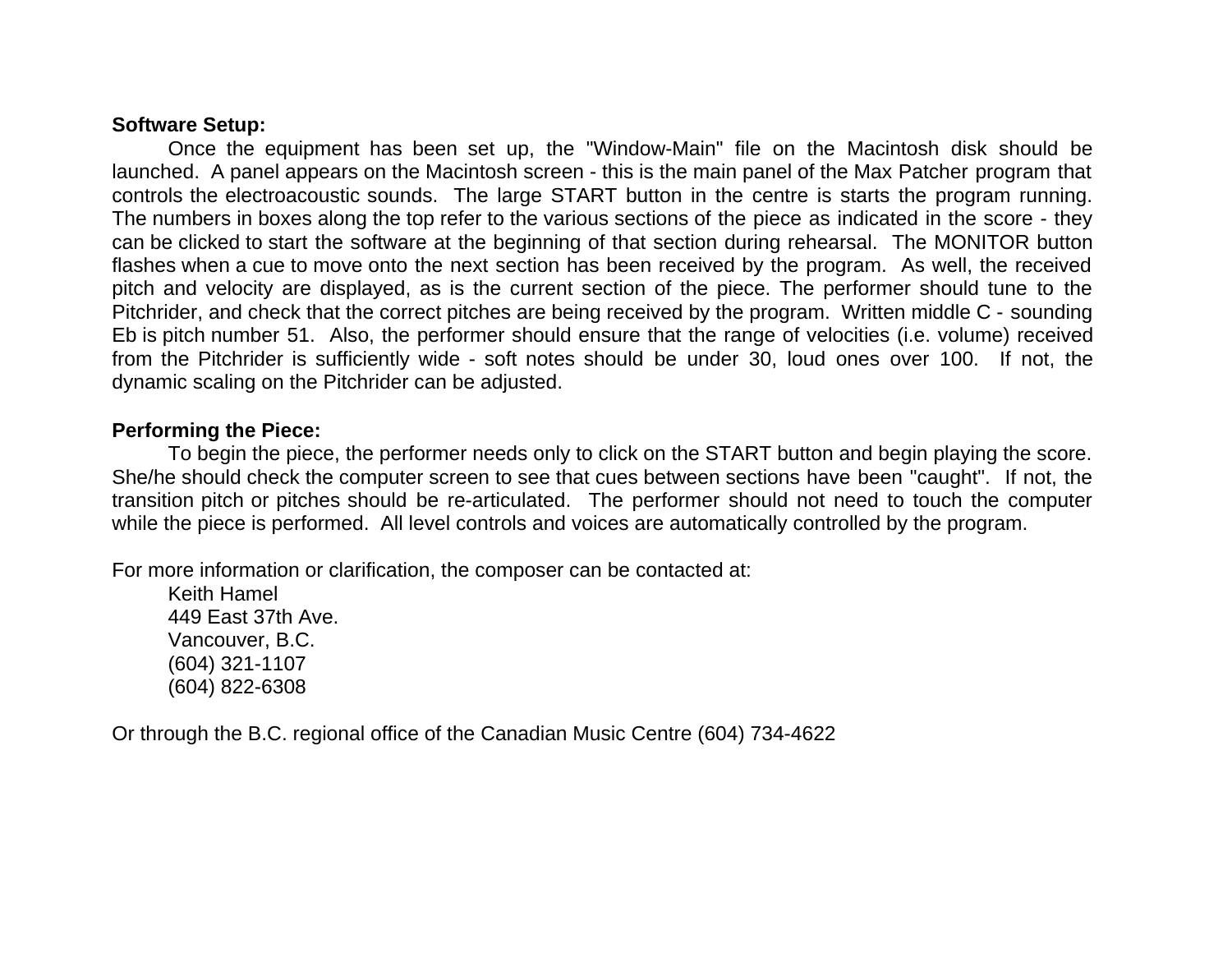#### **Software Setup:**

Once the equipment has been set up, the "Window-Main" file on the Macintosh disk should be launched. A panel appears on the Macintosh screen - this is the main panel of the Max Patcher program that controls the electroacoustic sounds. The large START button in the centre is starts the program running. The numbers in boxes along the top refer to the various sections of the piece as indicated in the score - they can be clicked to start the software at the beginning of that section during rehearsal. The MONITOR button flashes when a cue to move onto the next section has been received by the program. As well, the received pitch and velocity are displayed, as is the current section of the piece. The performer should tune to the Pitchrider, and check that the correct pitches are being received by the program. Written middle C - sounding Eb is pitch number 51. Also, the performer should ensure that the range of velocities (i.e. volume) received from the Pitchrider is sufficiently wide - soft notes should be under 30, loud ones over 100. If not, the dynamic scaling on the Pitchrider can be adjusted.

#### **Performing the Piece:**

To begin the piece, the performer needs only to click on the START button and begin playing the score. She/he should check the computer screen to see that cues between sections have been "caught". If not, the transition pitch or pitches should be re-articulated. The performer should not need to touch the computer while the piece is performed. All level controls and voices are automatically controlled by the program.

For more information or clarification, the composer can be contacted at:

Keith Hamel 449 East 37th Ave. Vancouver, B.C. (604) 321-1107 (604) 822-6308

Or through the B.C. regional office of the Canadian Music Centre (604) 734-4622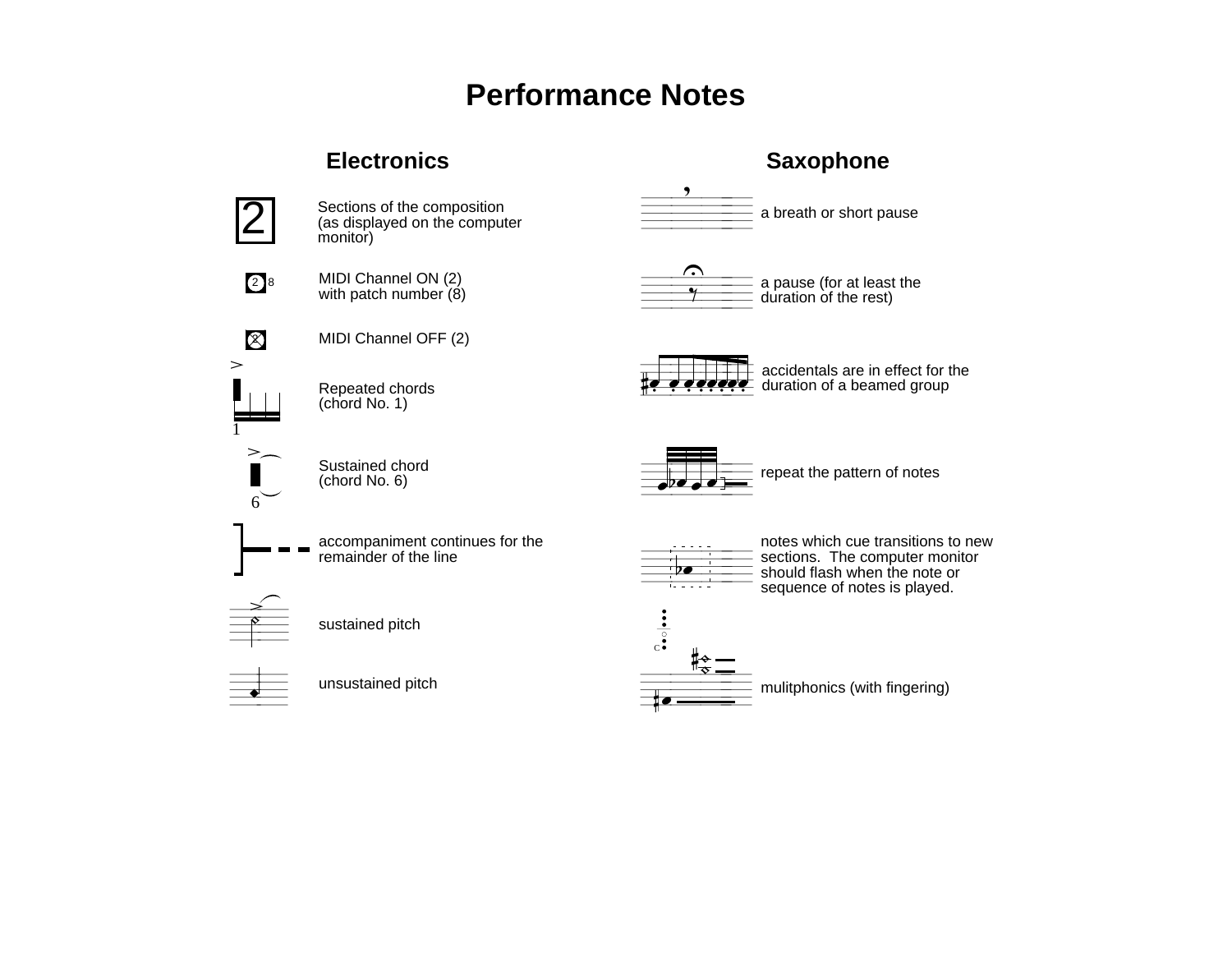## **Performance Notes**

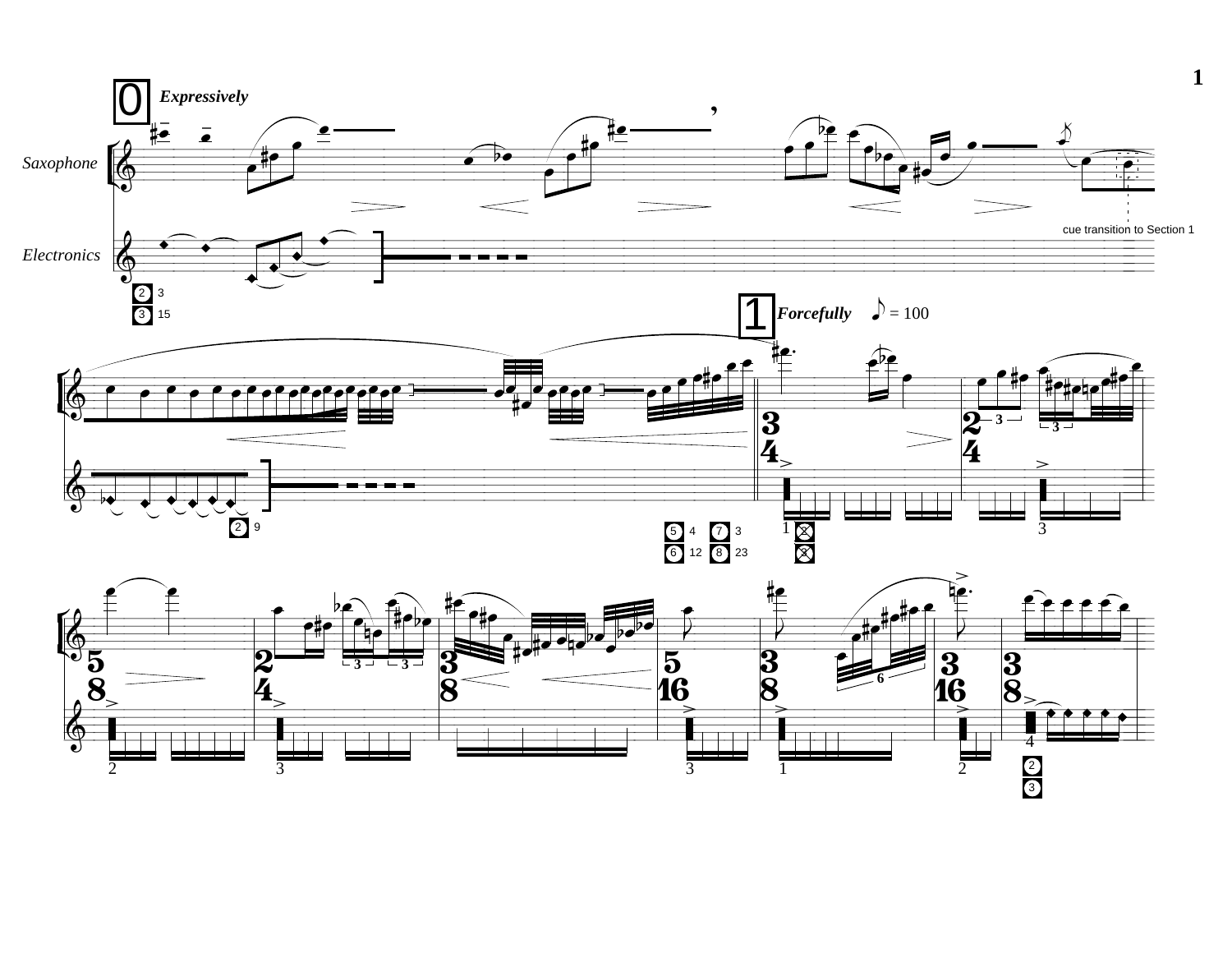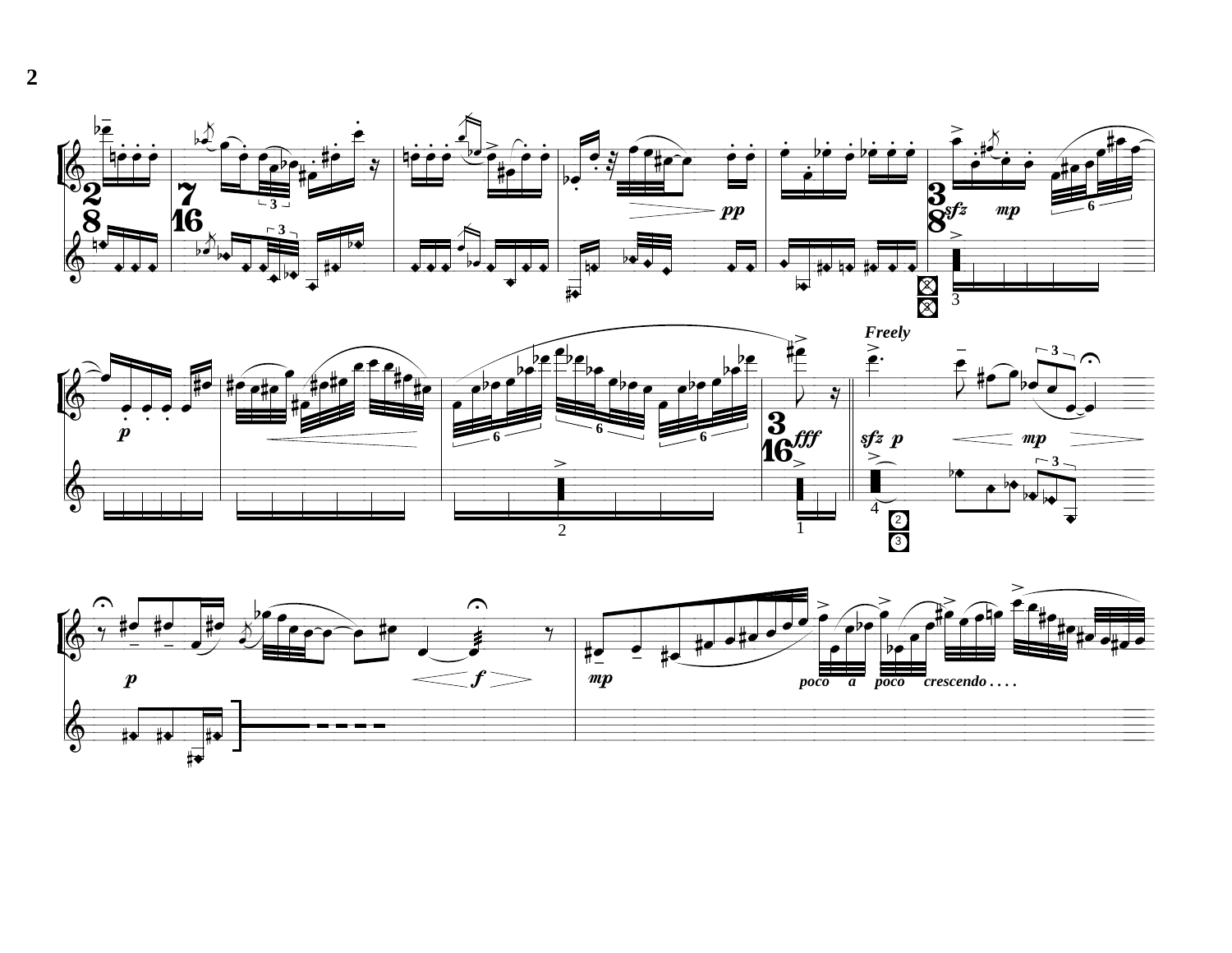



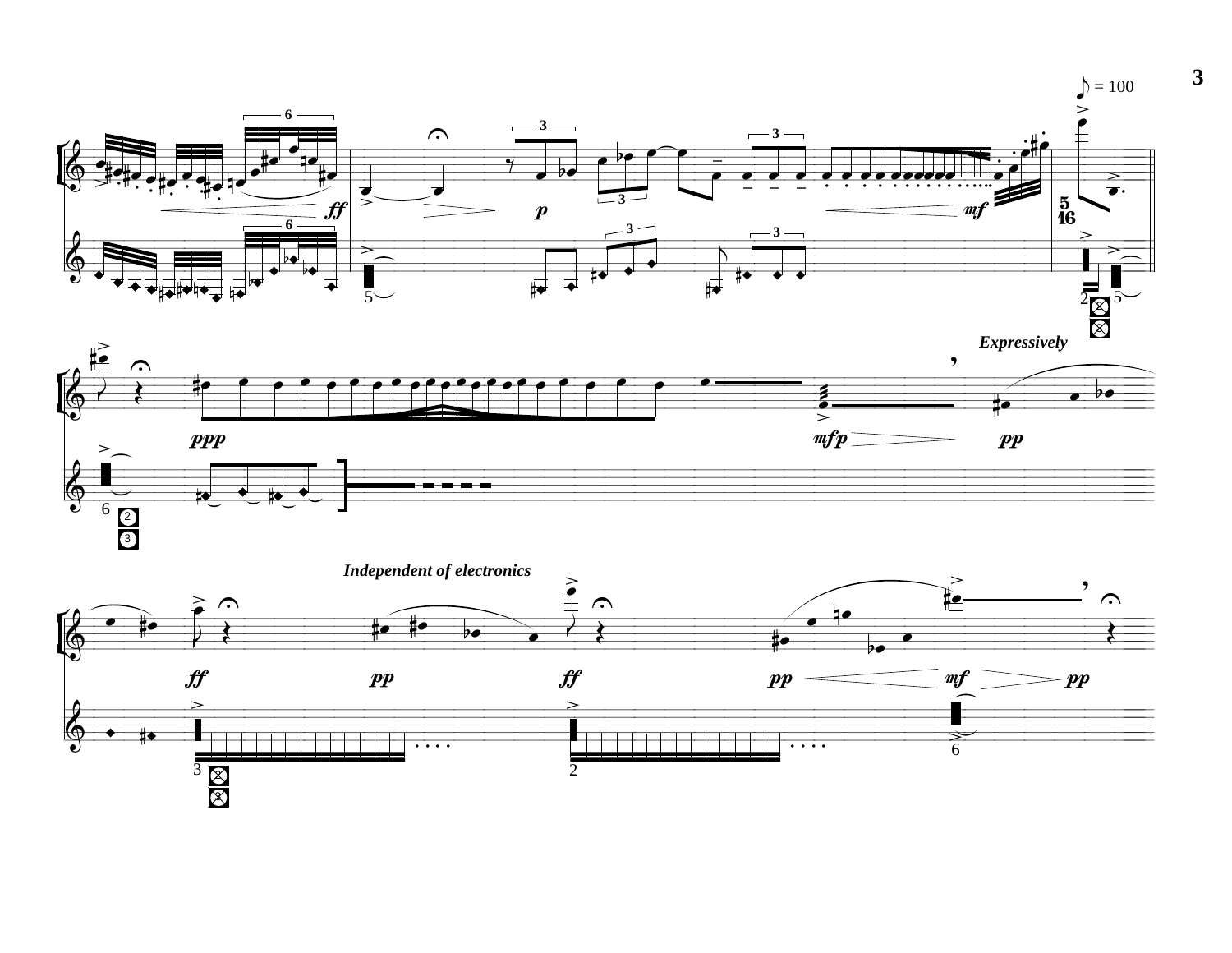

**3**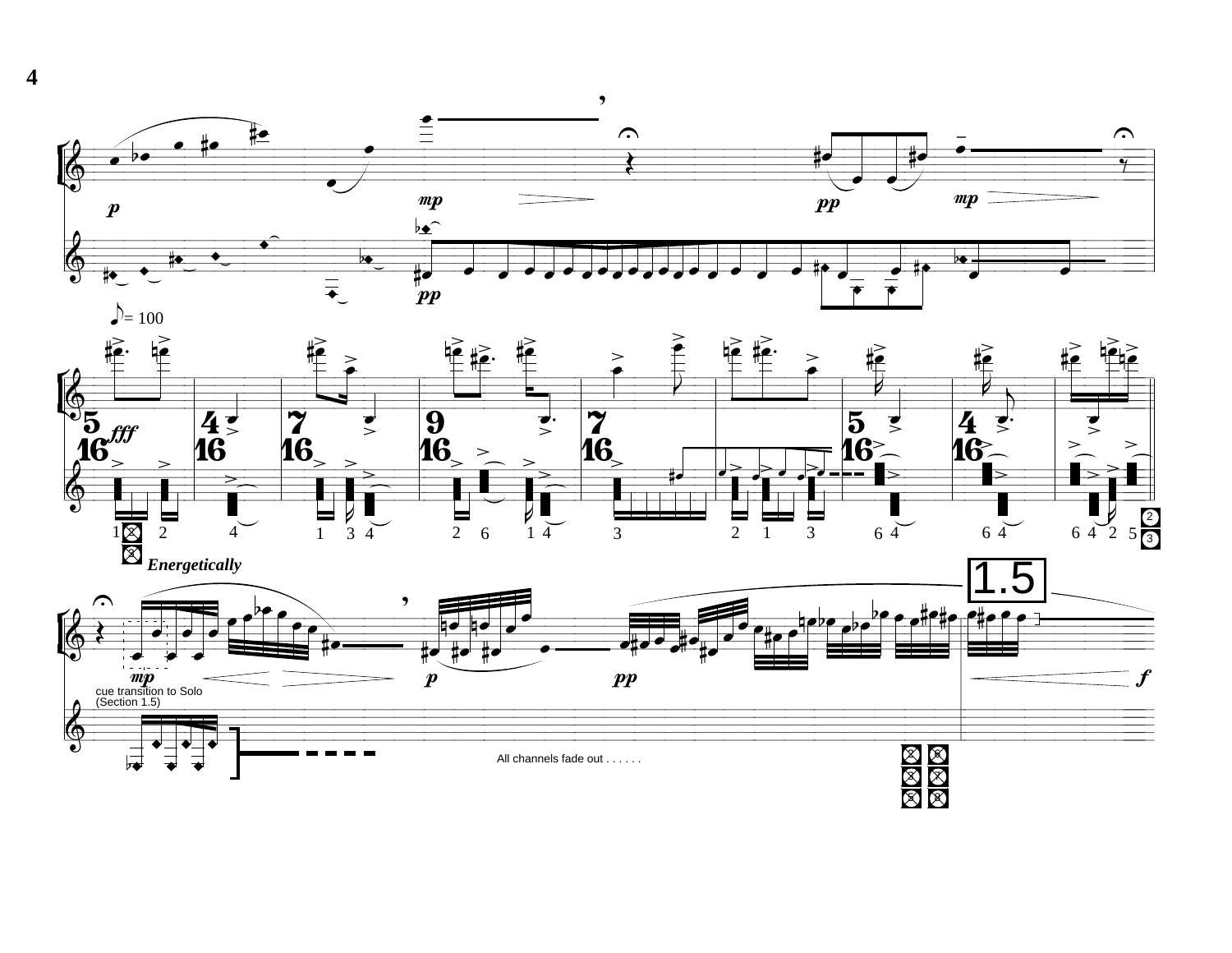





**4**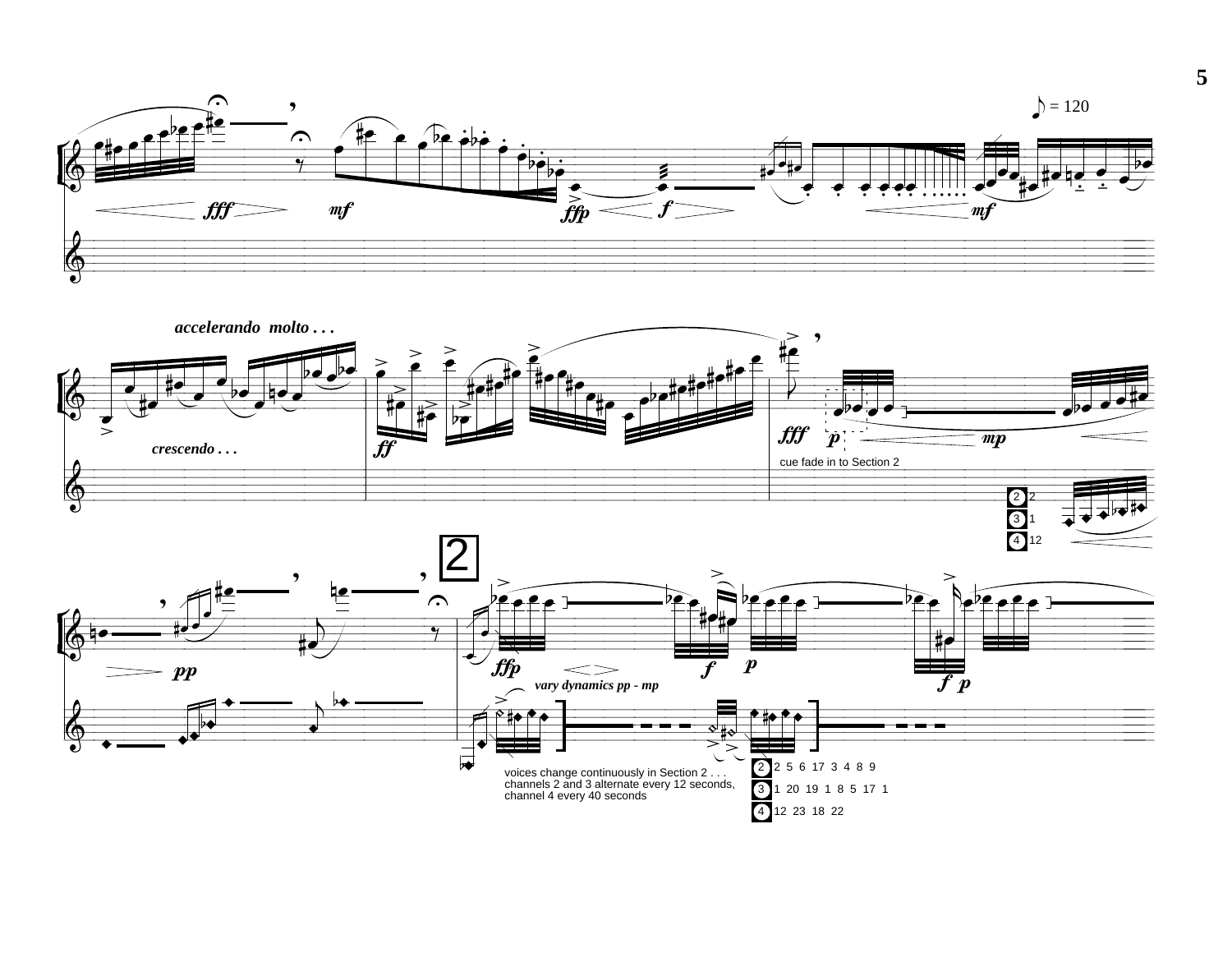



voices change continuously in Section 2 . . . channels 2 and 3 alternate every 12 seconds, channel 4 every 40 seconds

3 1 20 19 1 8 5 17 1 4 12 23 18 22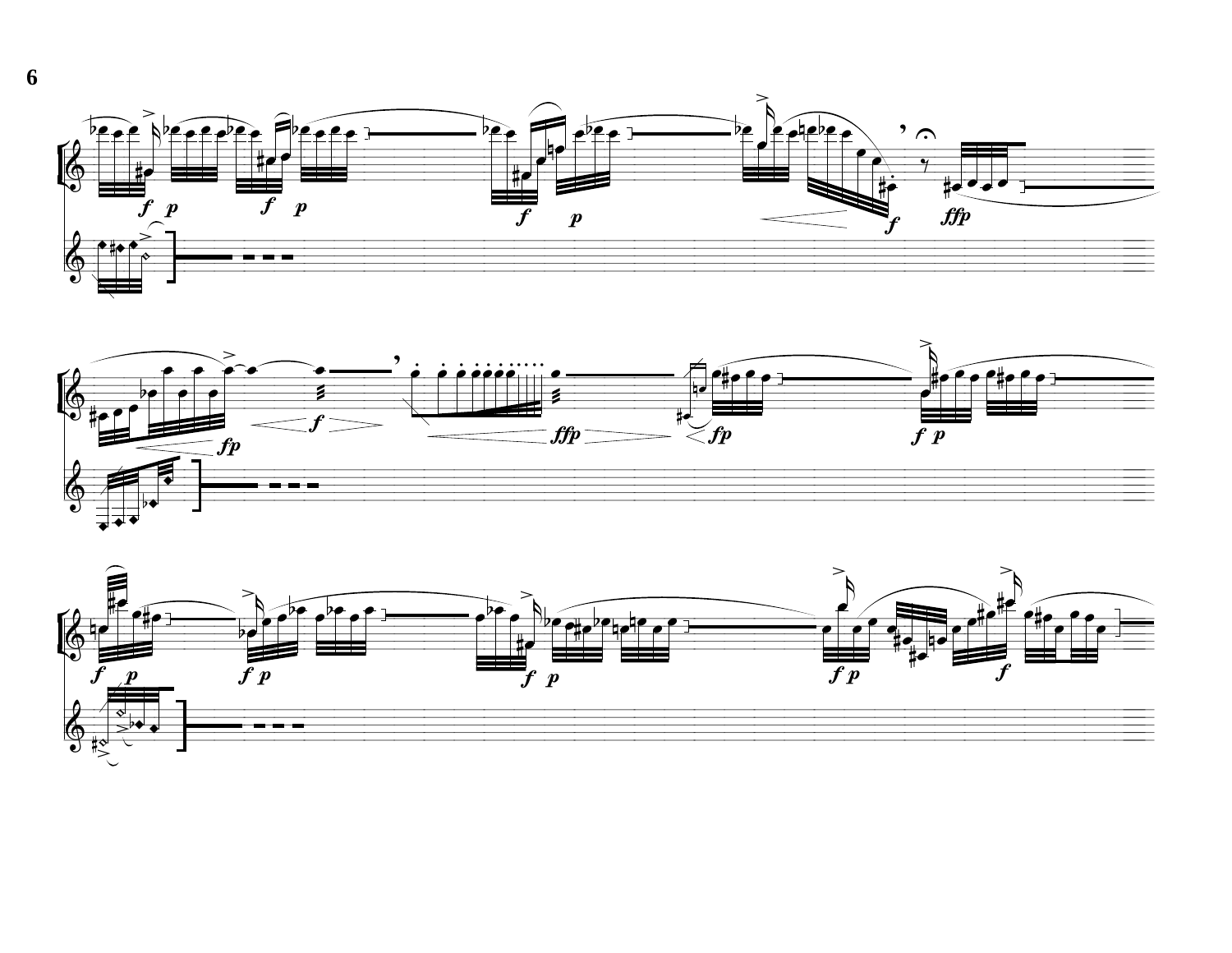![](_page_11_Figure_0.jpeg)

![](_page_11_Figure_1.jpeg)

![](_page_11_Figure_2.jpeg)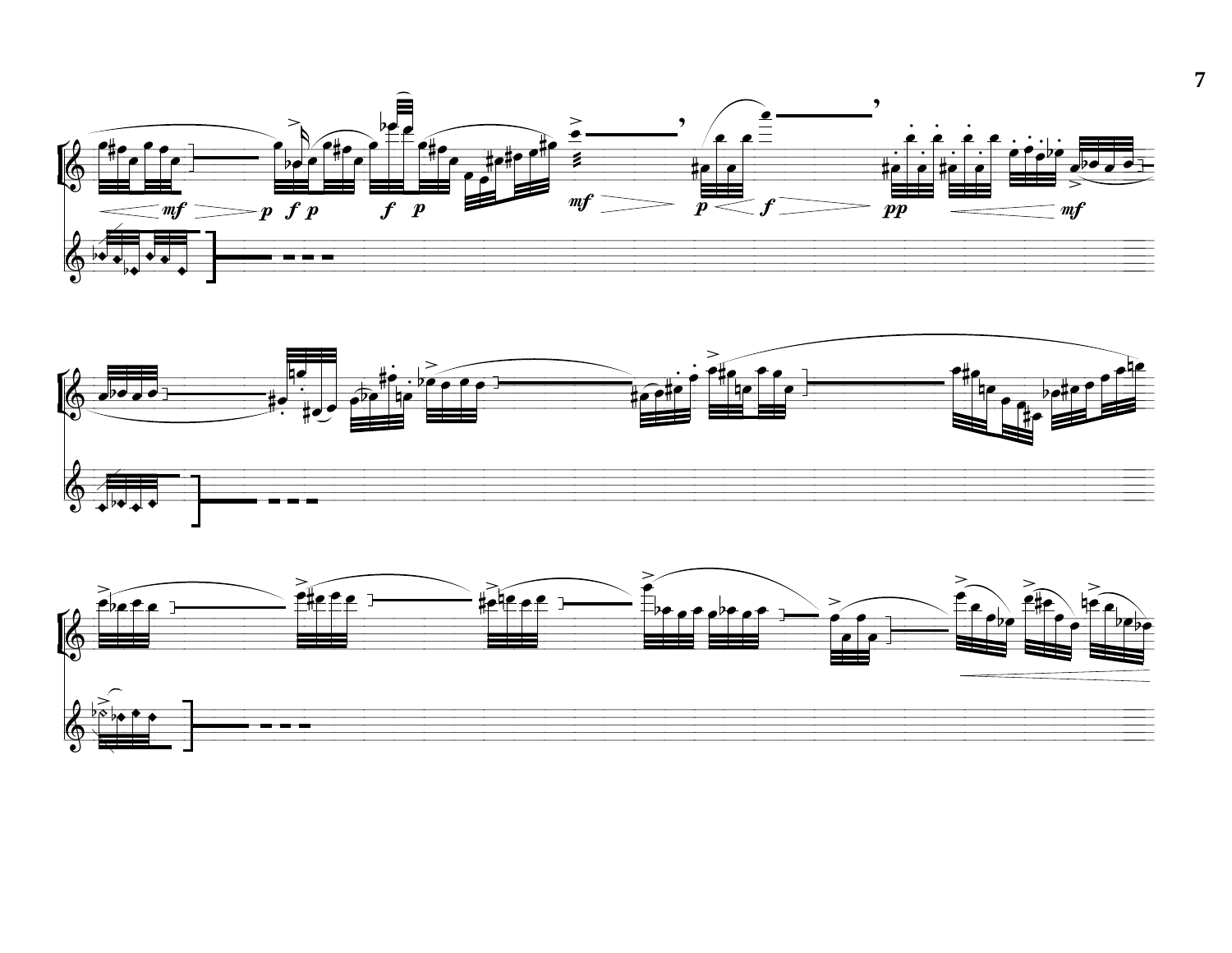![](_page_12_Figure_0.jpeg)

![](_page_12_Figure_1.jpeg)

![](_page_12_Figure_2.jpeg)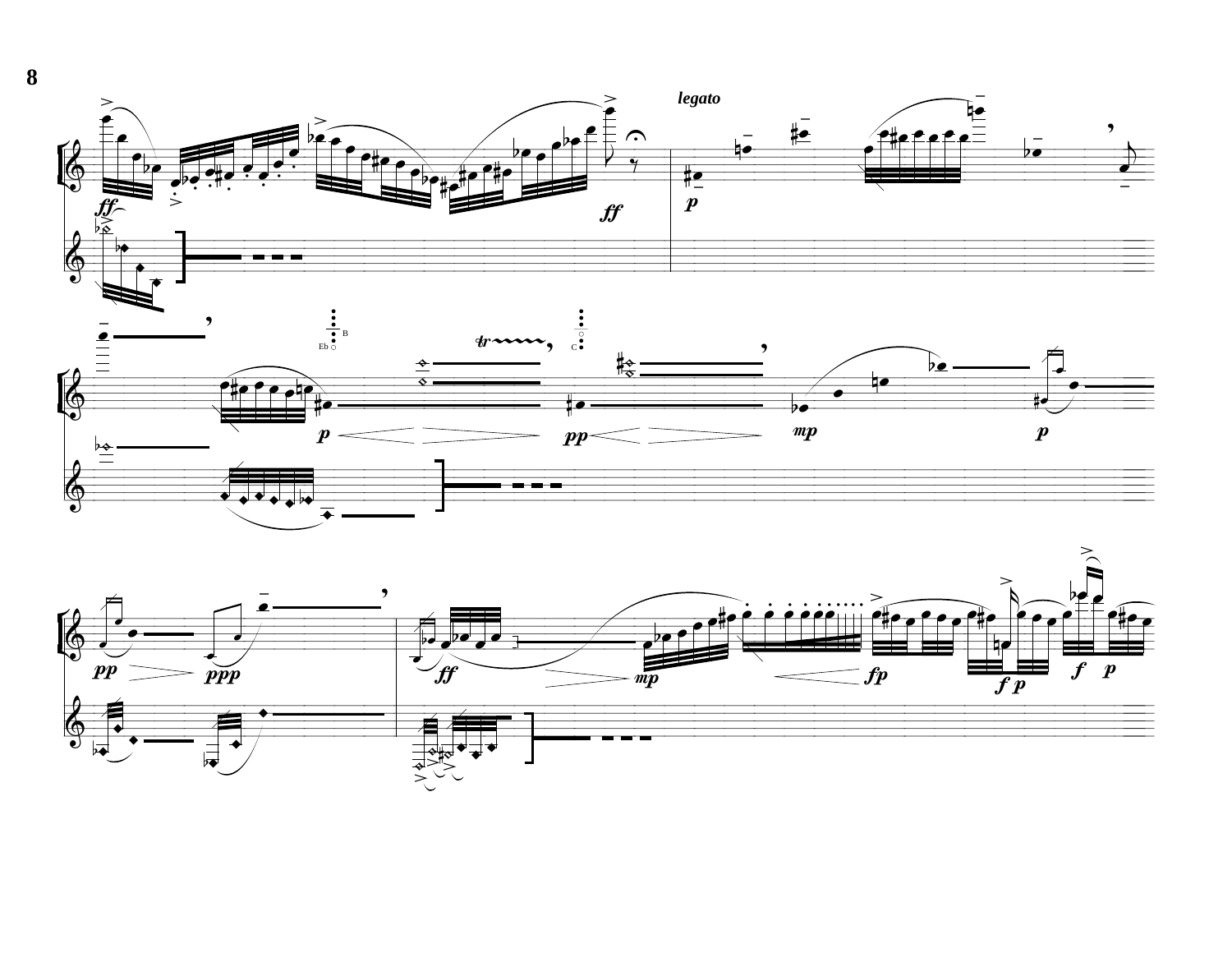![](_page_13_Figure_0.jpeg)

![](_page_13_Figure_1.jpeg)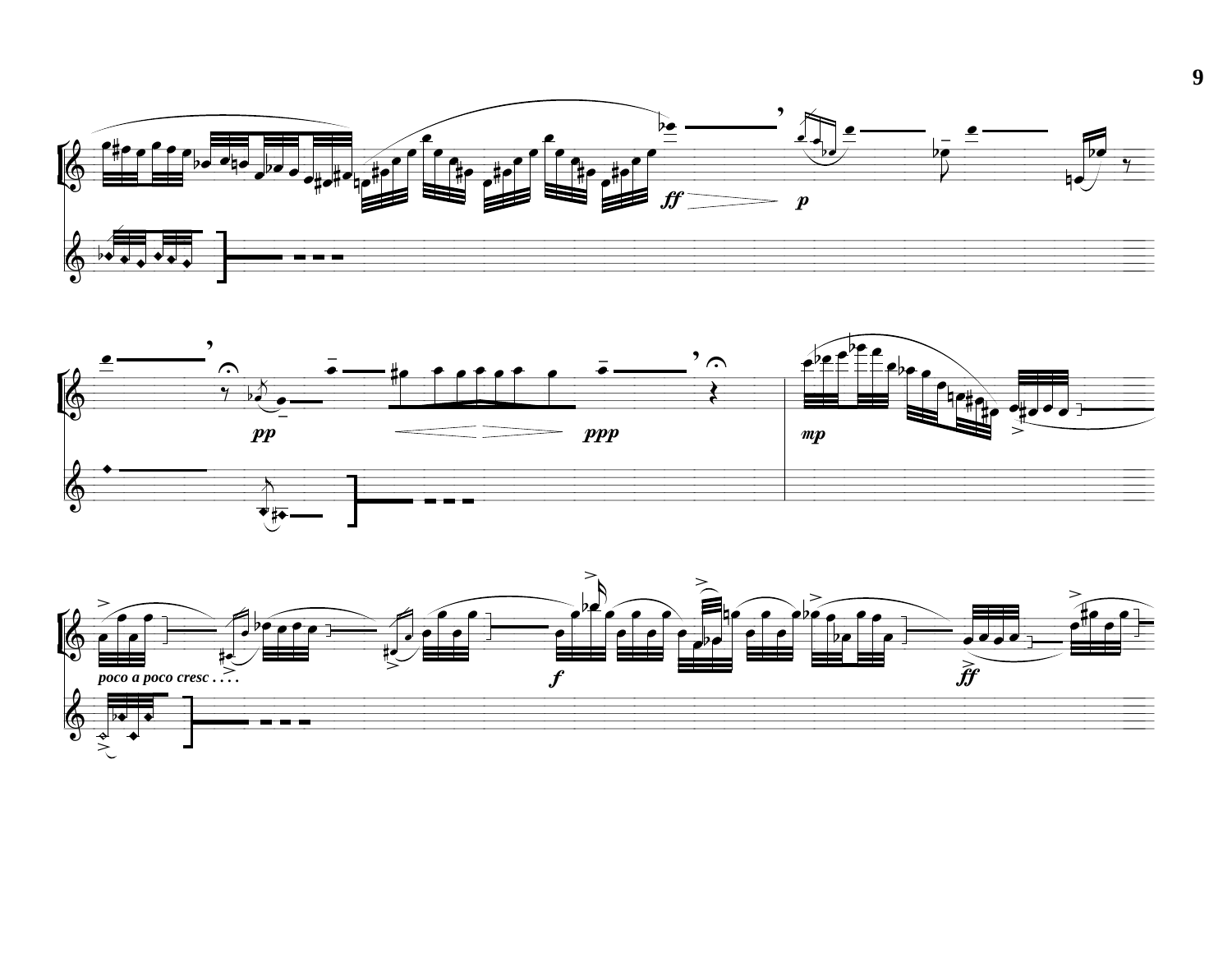![](_page_14_Figure_0.jpeg)

![](_page_14_Figure_1.jpeg)

![](_page_14_Figure_2.jpeg)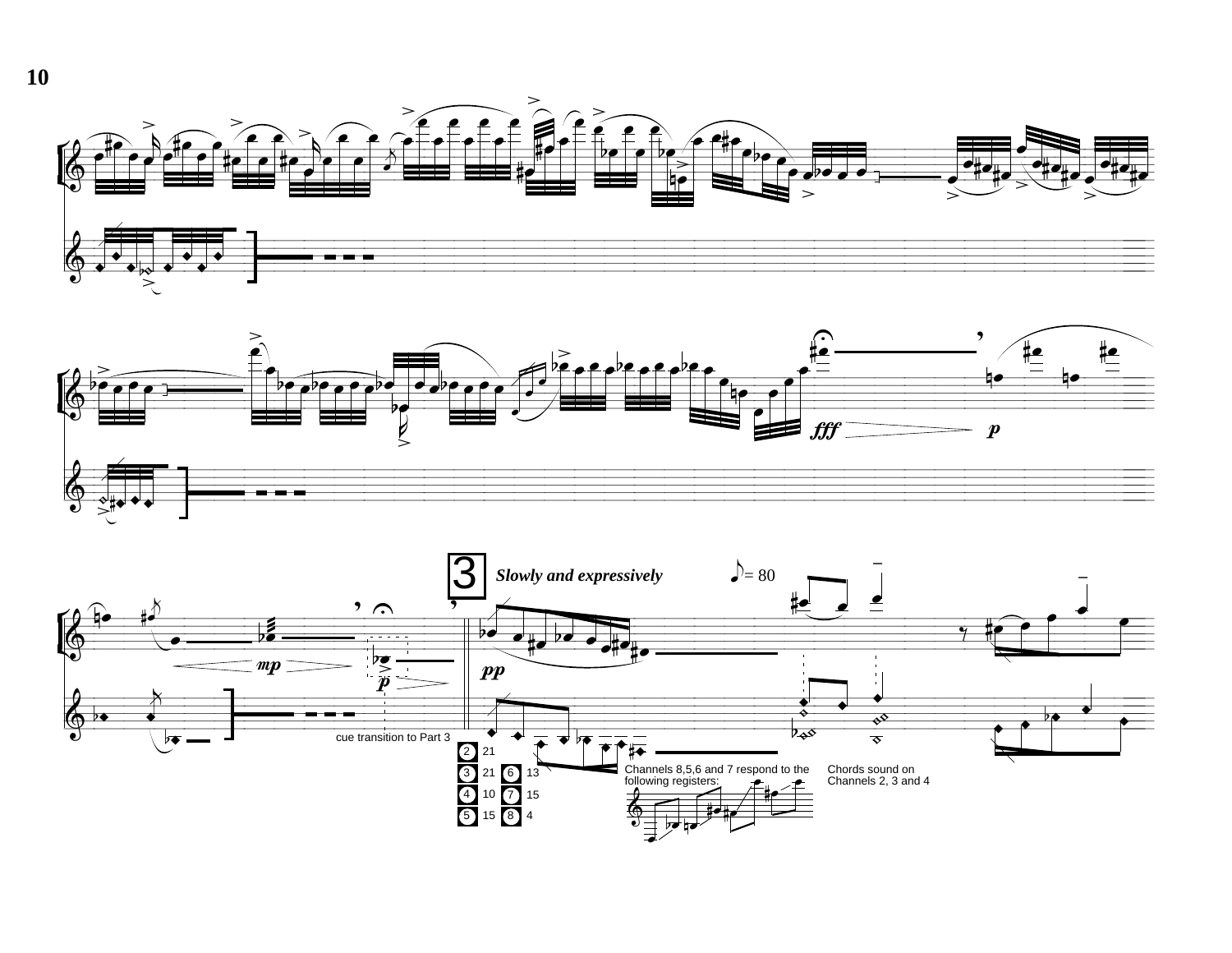![](_page_15_Figure_0.jpeg)

![](_page_15_Figure_1.jpeg)

![](_page_15_Figure_2.jpeg)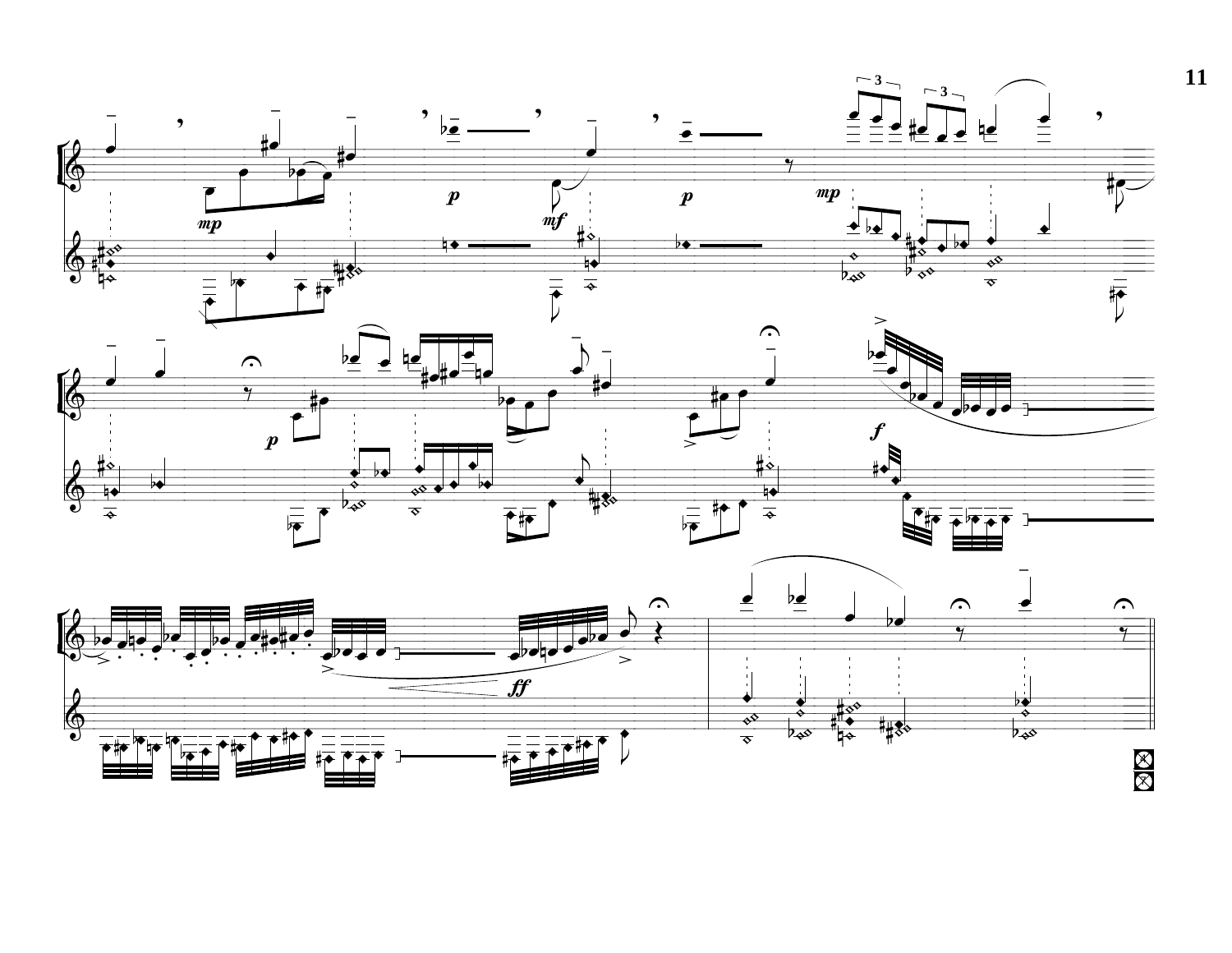![](_page_16_Figure_0.jpeg)

 $\mathbf{11}$